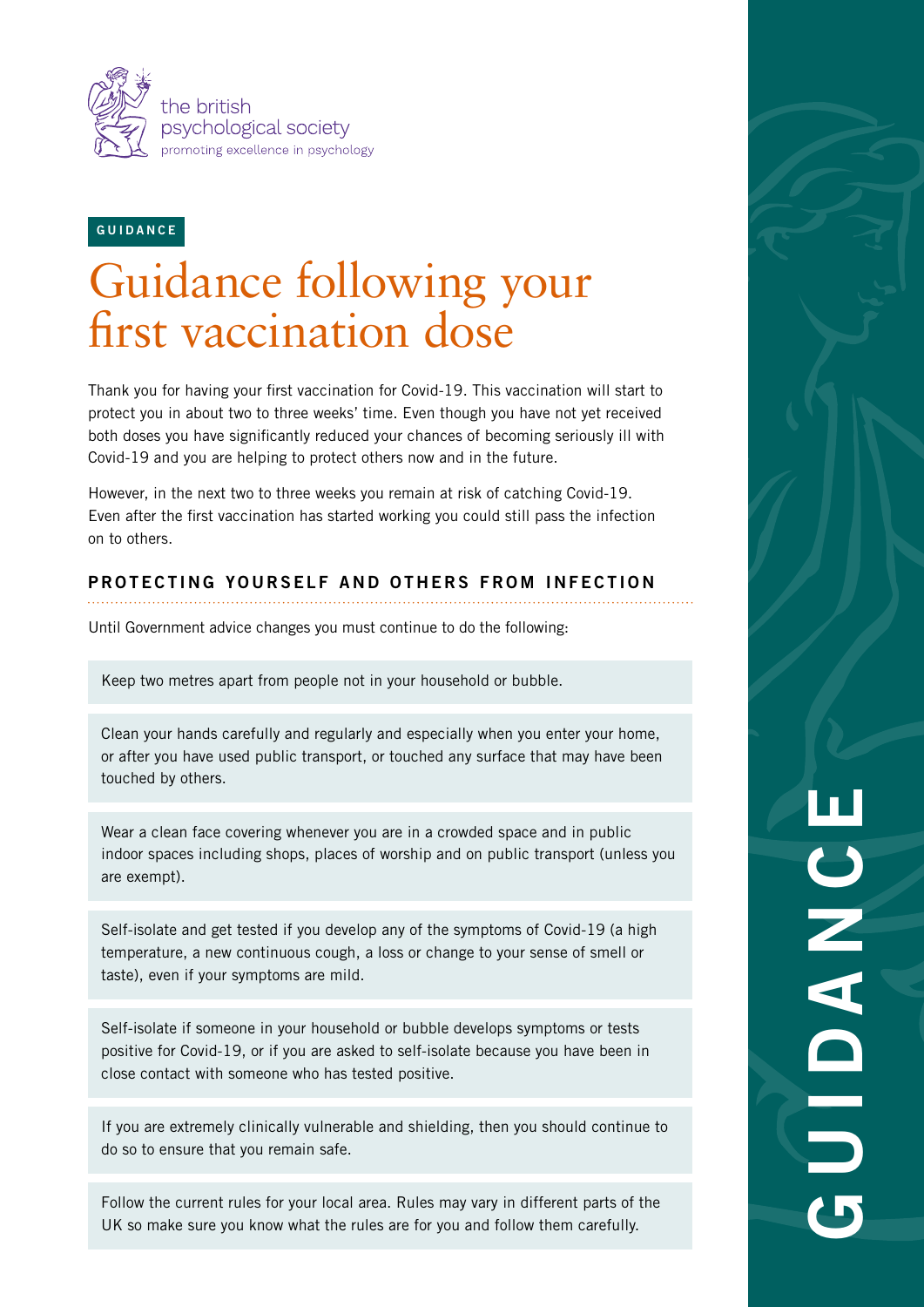

GUIDANCE

## Guidance following your first vaccination dose

Thank you for having your first vaccination for Covid-19. This vaccination will start to protect you in about two to three weeks' time. Even though you have not yet received both doses you have significantly reduced your chances of becoming seriously ill with Covid-19 and you are helping to protect others now and in the future.

However, in the next two to three weeks you remain at risk of catching Covid-19. Even after the first vaccination has started working you could still pass the infection on to others.

## PROTECTING YOURSELF AND OTHERS FROM INFECTION

Until Government advice changes you must continue to do the following:

Keep two metres apart from people not in your household or bubble.

Clean your hands carefully and regularly and especially when you enter your home, or after you have used public transport, or touched any surface that may have been touched by others.

Wear a clean face covering whenever you are in a crowded space and in public indoor spaces including shops, places of worship and on public transport (unless you are exempt).

Self-isolate and get tested if you develop any of the symptoms of Covid-19 (a high temperature, a new continuous cough, a loss or change to your sense of smell or taste), even if your symptoms are mild.

Self-isolate if someone in your household or bubble develops symptoms or tests positive for Covid-19, or if you are asked to self-isolate because you have been in close contact with someone who has tested positive.

If you are extremely clinically vulnerable and shielding, then you should continue to do so to ensure that you remain safe.

Follow the current rules for your local area. Rules may vary in different parts of the UK so make sure you know what the rules are for you and follow them carefully.